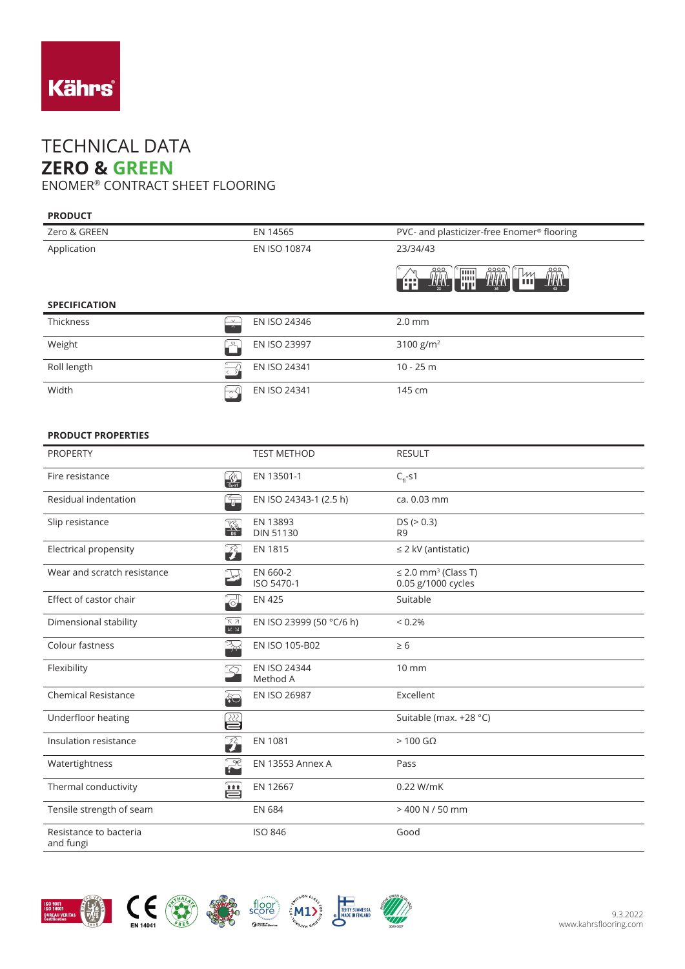

## TECHNICAL DATA **ZERO & GREEN**

ENOMER® CONTRACT SHEET FLOORING

## **PRODUCT**

| Zero & GREEN                         | EN 14565     | PVC- and plasticizer-free Enomer <sup>®</sup> flooring             |
|--------------------------------------|--------------|--------------------------------------------------------------------|
| Application                          | EN ISO 10874 | 23/34/43                                                           |
|                                      |              | <b>THE</b><br><b>THA</b><br><b>THAN</b><br>Im.<br>  m<br>ш<br>luri |
| <b>SPECIFICATION</b>                 |              |                                                                    |
| <b>Thickness</b><br>$\sim$<br>$\sim$ | EN ISO 24346 | $2.0$ mm                                                           |
| Weight<br>ہے ۔                       | EN ISO 23997 | 3100 $g/m^2$                                                       |
|                                      |              |                                                                    |
| Roll length                          | EN ISO 24341 | $10 - 25$ m                                                        |

## **PRODUCT PROPERTIES**

| <b>PROPERTY</b>                     |                                          | <b>TEST METHOD</b>              | <b>RESULT</b>                                              |
|-------------------------------------|------------------------------------------|---------------------------------|------------------------------------------------------------|
| Fire resistance                     | $\frac{1}{C_{\text{H}} \cdot \text{s1}}$ | EN 13501-1                      | $C_{\rm fl}$ -s1                                           |
| Residual indentation                | t,                                       | EN ISO 24343-1 (2.5 h)          | ca. 0.03 mm                                                |
| Slip resistance                     | <b>A</b>                                 | EN 13893<br><b>DIN 51130</b>    | DS (> 0.3)<br>R <sub>9</sub>                               |
| Electrical propensity               | $\mathcal{L}$                            | <b>EN 1815</b>                  | $\leq$ 2 kV (antistatic)                                   |
| Wear and scratch resistance         |                                          | EN 660-2<br>ISO 5470-1          | $\leq$ 2.0 mm <sup>3</sup> (Class T)<br>0.05 g/1000 cycles |
| Effect of castor chair              | $\Theta$                                 | <b>EN 425</b>                   | Suitable                                                   |
| Dimensional stability               | °⊼ א'<br>$K \times$                      | EN ISO 23999 (50 °C/6 h)        | $< 0.2\%$                                                  |
| Colour fastness                     | BR                                       | EN ISO 105-B02                  | $\geq 6$                                                   |
| Flexibility                         | $\Omega$                                 | <b>EN ISO 24344</b><br>Method A | $10 \, \text{mm}$                                          |
| <b>Chemical Resistance</b>          | $\hat{\delta}$                           | EN ISO 26987                    | Excellent                                                  |
| Underfloor heating                  | ≌                                        |                                 | Suitable (max. +28 °C)                                     |
| Insulation resistance               | 孕                                        | <b>EN 1081</b>                  | $>100$ G $\Omega$                                          |
| Watertightness                      | $\mathbb{R}^2$                           | <b>EN 13553 Annex A</b>         | Pass                                                       |
| Thermal conductivity                | 兽                                        | EN 12667                        | 0.22 W/mK                                                  |
| Tensile strength of seam            |                                          | <b>EN 684</b>                   | $>$ 400 N / 50 mm                                          |
| Resistance to bacteria<br>and fungi |                                          | <b>ISO 846</b>                  | Good                                                       |